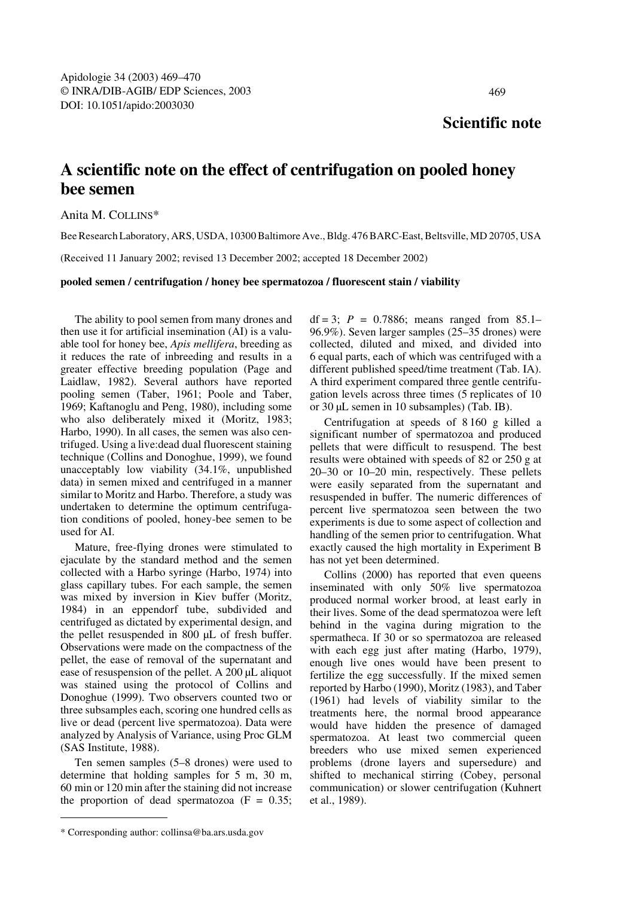## **Scientific note**

## **A scientific note on the effect of centrifugation on pooled honey bee semen**

Anita M. COLLINS\*

Bee Research Laboratory, ARS, USDA, 10300 Baltimore Ave., Bldg. 476 BARC-East, Beltsville, MD 20705, USA

(Received 11 January 2002; revised 13 December 2002; accepted 18 December 2002)

## **pooled semen / centrifugation / honey bee spermatozoa / fluorescent stain / viability**

The ability to pool semen from many drones and then use it for artificial insemination (AI) is a valuable tool for honey bee, *Apis mellifera*, breeding as it reduces the rate of inbreeding and results in a greater effective breeding population (Page and Laidlaw, 1982). Several authors have reported pooling semen (Taber, 1961; Poole and Taber, 1969; Kaftanoglu and Peng, 1980), including some who also deliberately mixed it (Moritz, 1983; Harbo, 1990). In all cases, the semen was also centrifuged. Using a live:dead dual fluorescent staining technique (Collins and Donoghue, 1999), we found unacceptably low viability (34.1%, unpublished data) in semen mixed and centrifuged in a manner similar to Moritz and Harbo. Therefore, a study was undertaken to determine the optimum centrifugation conditions of pooled, honey-bee semen to be used for AI.

Mature, free-flying drones were stimulated to ejaculate by the standard method and the semen collected with a Harbo syringe (Harbo, 1974) into glass capillary tubes. For each sample, the semen was mixed by inversion in Kiev buffer (Moritz, 1984) in an eppendorf tube, subdivided and centrifuged as dictated by experimental design, and the pellet resuspended in 800 µL of fresh buffer. Observations were made on the compactness of the pellet, the ease of removal of the supernatant and ease of resuspension of the pellet. A 200 µL aliquot was stained using the protocol of Collins and Donoghue (1999). Two observers counted two or three subsamples each, scoring one hundred cells as live or dead (percent live spermatozoa). Data were analyzed by Analysis of Variance, using Proc GLM (SAS Institute, 1988).

Ten semen samples (5–8 drones) were used to determine that holding samples for 5 m, 30 m, 60 min or 120 min after the staining did not increase the proportion of dead spermatozoa  $(F = 0.35)$ ; df = 3;  $P = 0.7886$ ; means ranged from 85.1– 96.9%). Seven larger samples (25–35 drones) were collected, diluted and mixed, and divided into 6 equal parts, each of which was centrifuged with a different published speed/time treatment (Tab. IA). A third experiment compared three gentle centrifugation levels across three times (5 replicates of 10 or 30 µL semen in 10 subsamples) (Tab. IB).

Centrifugation at speeds of 8 160 g killed a significant number of spermatozoa and produced pellets that were difficult to resuspend. The best results were obtained with speeds of 82 or 250 g at 20–30 or 10–20 min, respectively. These pellets were easily separated from the supernatant and resuspended in buffer. The numeric differences of percent live spermatozoa seen between the two experiments is due to some aspect of collection and handling of the semen prior to centrifugation. What exactly caused the high mortality in Experiment B has not yet been determined.

Collins (2000) has reported that even queens inseminated with only 50% live spermatozoa produced normal worker brood, at least early in their lives. Some of the dead spermatozoa were left behind in the vagina during migration to the spermatheca. If 30 or so spermatozoa are released with each egg just after mating (Harbo, 1979), enough live ones would have been present to fertilize the egg successfully. If the mixed semen reported by Harbo (1990), Moritz (1983), and Taber (1961) had levels of viability similar to the treatments here, the normal brood appearance would have hidden the presence of damaged spermatozoa. At least two commercial queen breeders who use mixed semen experienced problems (drone layers and supersedure) and shifted to mechanical stirring (Cobey, personal communication) or slower centrifugation (Kuhnert et al., 1989).

<sup>\*</sup> Corresponding author: collinsa@ba.ars.usda.gov